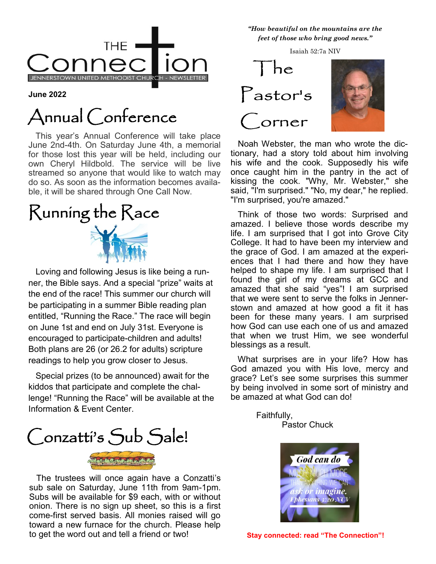

**June 2022**

## Annual Conference

 This year's Annual Conference will take place June 2nd-4th. On Saturday June 4th, a memorial for those lost this year will be held, including our own Cheryl Hildbold. The service will be live streamed so anyone that would like to watch may do so. As soon as the information becomes available, it will be shared through One Call Now.

# Running the Race



 Loving and following Jesus is like being a runner, the Bible says. And a special "prize" waits at the end of the race! This summer our church will be participating in a summer Bible reading plan entitled, "Running the Race." The race will begin on June 1st and end on July 31st. Everyone is encouraged to participate-children and adults! Both plans are 26 (or 26.2 for adults) scripture readings to help you grow closer to Jesus.

 Special prizes (to be announced) await for the kiddos that participate and complete the challenge! "Running the Race" will be available at the Information & Event Center.



 The trustees will once again have a Conzatti's sub sale on Saturday, June 11th from 9am-1pm. Subs will be available for \$9 each, with or without onion. There is no sign up sheet, so this is a first come-first served basis. All monies raised will go toward a new furnace for the church. Please help to get the word out and tell a friend or two!

<sup>Y</sup>*"How beautiful on the mountains are the feet of those who bring good news."*

Isaiah 52:7a NIV



 Noah Webster, the man who wrote the dictionary, had a story told about him involving his wife and the cook. Supposedly his wife once caught him in the pantry in the act of kissing the cook. "Why, Mr. Webster," she said, "I'm surprised." "No, my dear," he replied. "I'm surprised, you're amazed."

 Think of those two words: Surprised and amazed. I believe those words describe my life. I am surprised that I got into Grove City College. It had to have been my interview and the grace of God. I am amazed at the experiences that I had there and how they have helped to shape my life. I am surprised that I found the girl of my dreams at GCC and amazed that she said "yes"! I am surprised that we were sent to serve the folks in Jennerstown and amazed at how good a fit it has been for these many years. I am surprised how God can use each one of us and amazed that when we trust Him, we see wonderful blessings as a result.

 What surprises are in your life? How has God amazed you with His love, mercy and grace? Let's see some surprises this summer by being involved in some sort of ministry and be amazed at what God can do!

> Faithfully, Pastor Chuck



**Stay connected: read "The Connection"!**